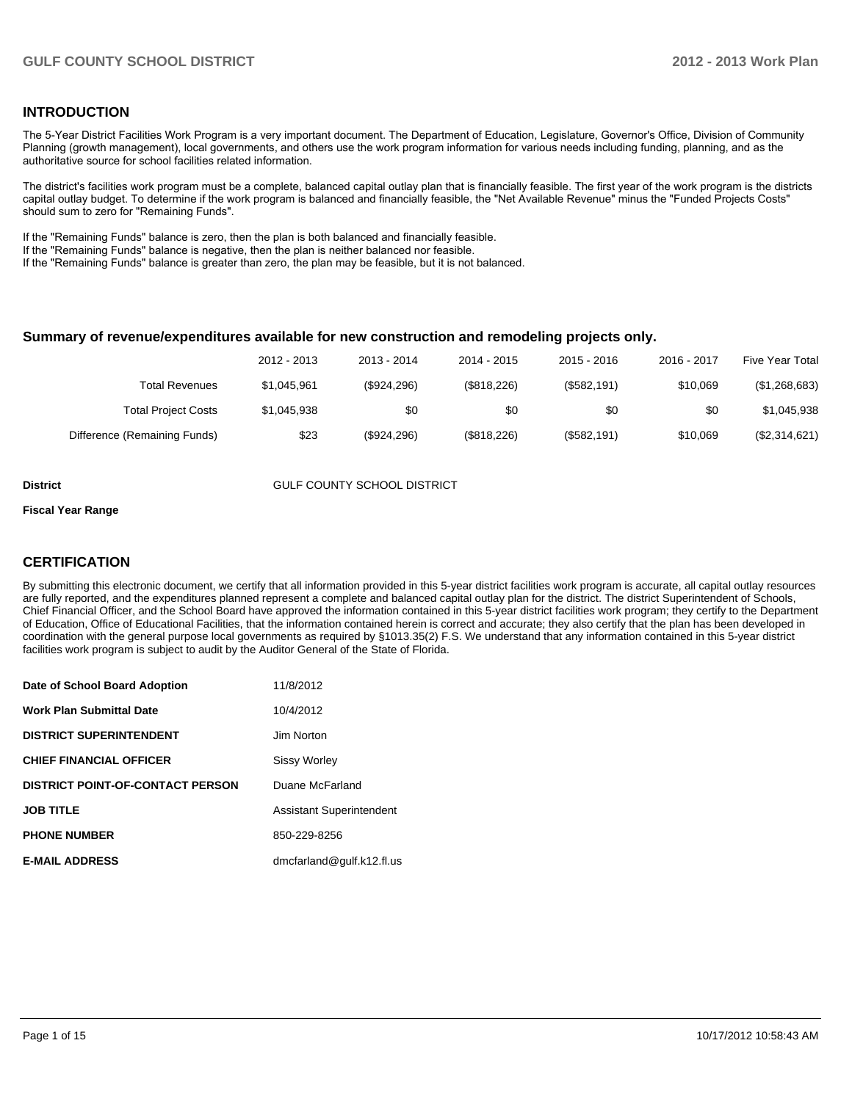### **INTRODUCTION**

The 5-Year District Facilities Work Program is a very important document. The Department of Education, Legislature, Governor's Office, Division of Community Planning (growth management), local governments, and others use the work program information for various needs including funding, planning, and as the authoritative source for school facilities related information.

The district's facilities work program must be a complete, balanced capital outlay plan that is financially feasible. The first year of the work program is the districts capital outlay budget. To determine if the work program is balanced and financially feasible, the "Net Available Revenue" minus the "Funded Projects Costs" should sum to zero for "Remaining Funds".

If the "Remaining Funds" balance is zero, then the plan is both balanced and financially feasible.

If the "Remaining Funds" balance is negative, then the plan is neither balanced nor feasible.

If the "Remaining Funds" balance is greater than zero, the plan may be feasible, but it is not balanced.

#### **Summary of revenue/expenditures available for new construction and remodeling projects only.**

| <b>Five Year Total</b> | 2016 - 2017 | $2015 - 2016$ | 2014 - 2015 | 2013 - 2014 | 2012 - 2013 |                              |
|------------------------|-------------|---------------|-------------|-------------|-------------|------------------------------|
| (\$1,268,683)          | \$10.069    | (\$582,191)   | (\$818,226) | (\$924,296) | \$1.045.961 | Total Revenues               |
| \$1,045,938            | \$0         | \$0           | \$0         | \$0         | \$1,045,938 | <b>Total Project Costs</b>   |
| (\$2,314,621)          | \$10.069    | (\$582,191)   | (\$818,226) | (\$924,296) | \$23        | Difference (Remaining Funds) |

**District COUNTY SCHOOL DISTRICT** 

#### **Fiscal Year Range**

### **CERTIFICATION**

By submitting this electronic document, we certify that all information provided in this 5-year district facilities work program is accurate, all capital outlay resources are fully reported, and the expenditures planned represent a complete and balanced capital outlay plan for the district. The district Superintendent of Schools, Chief Financial Officer, and the School Board have approved the information contained in this 5-year district facilities work program; they certify to the Department of Education, Office of Educational Facilities, that the information contained herein is correct and accurate; they also certify that the plan has been developed in coordination with the general purpose local governments as required by §1013.35(2) F.S. We understand that any information contained in this 5-year district facilities work program is subject to audit by the Auditor General of the State of Florida.

| Date of School Board Adoption           | 11/8/2012                       |
|-----------------------------------------|---------------------------------|
| <b>Work Plan Submittal Date</b>         | 10/4/2012                       |
| <b>DISTRICT SUPERINTENDENT</b>          | Jim Norton                      |
| <b>CHIEF FINANCIAL OFFICER</b>          | <b>Sissy Worley</b>             |
| <b>DISTRICT POINT-OF-CONTACT PERSON</b> | Duane McFarland                 |
| <b>JOB TITLE</b>                        | <b>Assistant Superintendent</b> |
| <b>PHONE NUMBER</b>                     | 850-229-8256                    |
| <b>E-MAIL ADDRESS</b>                   | dmcfarland@gulf.k12.fl.us       |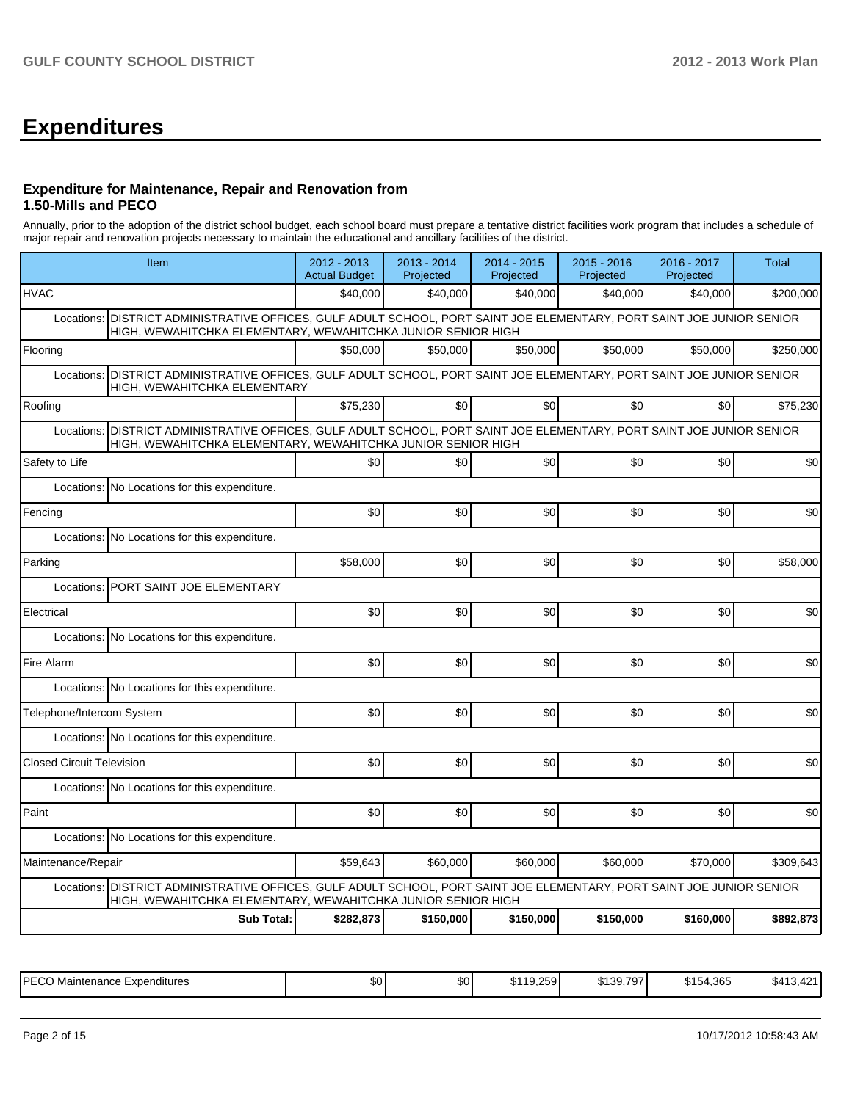## **Expenditures**

### **Expenditure for Maintenance, Repair and Renovation from 1.50-Mills and PECO**

Annually, prior to the adoption of the district school budget, each school board must prepare a tentative district facilities work program that includes a schedule of major repair and renovation projects necessary to maintain the educational and ancillary facilities of the district.

| Item                                                                                                                                                                                      |                   | 2012 - 2013<br><b>Actual Budget</b> | 2013 - 2014<br>Projected | 2014 - 2015<br>Projected | $2015 - 2016$<br>Projected | 2016 - 2017<br>Projected | <b>Total</b> |
|-------------------------------------------------------------------------------------------------------------------------------------------------------------------------------------------|-------------------|-------------------------------------|--------------------------|--------------------------|----------------------------|--------------------------|--------------|
| <b>HVAC</b>                                                                                                                                                                               |                   | \$40,000                            | \$40.000                 | \$40,000                 | \$40,000                   | \$40,000                 | \$200,000    |
| Locations: DISTRICT ADMINISTRATIVE OFFICES, GULF ADULT SCHOOL, PORT SAINT JOE ELEMENTARY, PORT SAINT JOE JUNIOR SENIOR<br>HIGH, WEWAHITCHKA ELEMENTARY, WEWAHITCHKA JUNIOR SENIOR HIGH    |                   |                                     |                          |                          |                            |                          |              |
| Flooring                                                                                                                                                                                  |                   | \$50,000                            | \$50,000                 | \$50,000                 | \$50,000                   | \$50,000                 | \$250,000    |
| DISTRICT ADMINISTRATIVE OFFICES, GULF ADULT SCHOOL, PORT SAINT JOE ELEMENTARY, PORT SAINT JOE JUNIOR SENIOR<br>Locations:<br>HIGH, WEWAHITCHKA ELEMENTARY                                 |                   |                                     |                          |                          |                            |                          |              |
| Roofing                                                                                                                                                                                   |                   | \$75,230                            | \$0                      | \$0                      | \$0                        | \$0                      | \$75,230     |
| DISTRICT ADMINISTRATIVE OFFICES, GULF ADULT SCHOOL, PORT SAINT JOE ELEMENTARY, PORT SAINT JOE JUNIOR SENIOR<br>Locations:<br>HIGH, WEWAHITCHKA ELEMENTARY, WEWAHITCHKA JUNIOR SENIOR HIGH |                   |                                     |                          |                          |                            |                          |              |
| Safety to Life                                                                                                                                                                            |                   | \$0                                 | \$0                      | \$0                      | \$0                        | \$0                      | \$0          |
| Locations:<br>No Locations for this expenditure.                                                                                                                                          |                   |                                     |                          |                          |                            |                          |              |
| Fencing                                                                                                                                                                                   |                   | \$0                                 | \$0                      | \$0                      | \$0                        | \$0                      | \$0          |
| Locations: No Locations for this expenditure.                                                                                                                                             |                   |                                     |                          |                          |                            |                          |              |
| Parking                                                                                                                                                                                   |                   | \$58,000                            | \$0                      | \$0                      | \$0                        | \$0                      | \$58,000     |
| PORT SAINT JOE ELEMENTARY<br>Locations:                                                                                                                                                   |                   |                                     |                          |                          |                            |                          |              |
| Electrical                                                                                                                                                                                |                   | \$0                                 | \$0                      | \$0                      | \$0                        | \$0                      | \$0          |
| Locations: No Locations for this expenditure.                                                                                                                                             |                   |                                     |                          |                          |                            |                          |              |
| Fire Alarm                                                                                                                                                                                |                   | \$0                                 | \$0                      | \$0                      | \$0                        | \$0                      | \$0          |
| Locations: No Locations for this expenditure.                                                                                                                                             |                   |                                     |                          |                          |                            |                          |              |
| Telephone/Intercom System                                                                                                                                                                 |                   | \$0                                 | \$0                      | \$0                      | \$0                        | \$0                      | \$0          |
| Locations: No Locations for this expenditure.                                                                                                                                             |                   |                                     |                          |                          |                            |                          |              |
| <b>Closed Circuit Television</b>                                                                                                                                                          |                   | \$0                                 | \$0                      | \$0                      | \$0                        | \$0                      | \$0          |
| Locations: No Locations for this expenditure.                                                                                                                                             |                   |                                     |                          |                          |                            |                          |              |
| Paint                                                                                                                                                                                     |                   | \$0                                 | \$0                      | \$0                      | \$0                        | \$0                      | \$0          |
| Locations: No Locations for this expenditure.                                                                                                                                             |                   |                                     |                          |                          |                            |                          |              |
| Maintenance/Repair                                                                                                                                                                        |                   | \$59,643                            | \$60,000                 | \$60,000                 | \$60,000                   | \$70,000                 | \$309,643    |
| DISTRICT ADMINISTRATIVE OFFICES, GULF ADULT SCHOOL, PORT SAINT JOE ELEMENTARY, PORT SAINT JOE JUNIOR SENIOR<br>Locations:<br>HIGH, WEWAHITCHKA ELEMENTARY, WEWAHITCHKA JUNIOR SENIOR HIGH |                   |                                     |                          |                          |                            |                          |              |
|                                                                                                                                                                                           | <b>Sub Total:</b> | \$282,873                           | \$150,000                | \$150,000                | \$150,000                  | \$160,000                | \$892,873    |

| IPFCC<br>Expenditures<br>Maintenance<br>∟ບບ | ጦጣ<br>ື | m.n<br>.DU | . 10. 250<br>- 11.<br>. J. L. J. | \$130.707<br>. שכ <sub>י</sub> ונה | 4.365<br>$T^{\ast}$<br><u>_</u><br>ມເມ | $\sim$<br>. ა4 -<br>. . |
|---------------------------------------------|---------|------------|----------------------------------|------------------------------------|----------------------------------------|-------------------------|
|---------------------------------------------|---------|------------|----------------------------------|------------------------------------|----------------------------------------|-------------------------|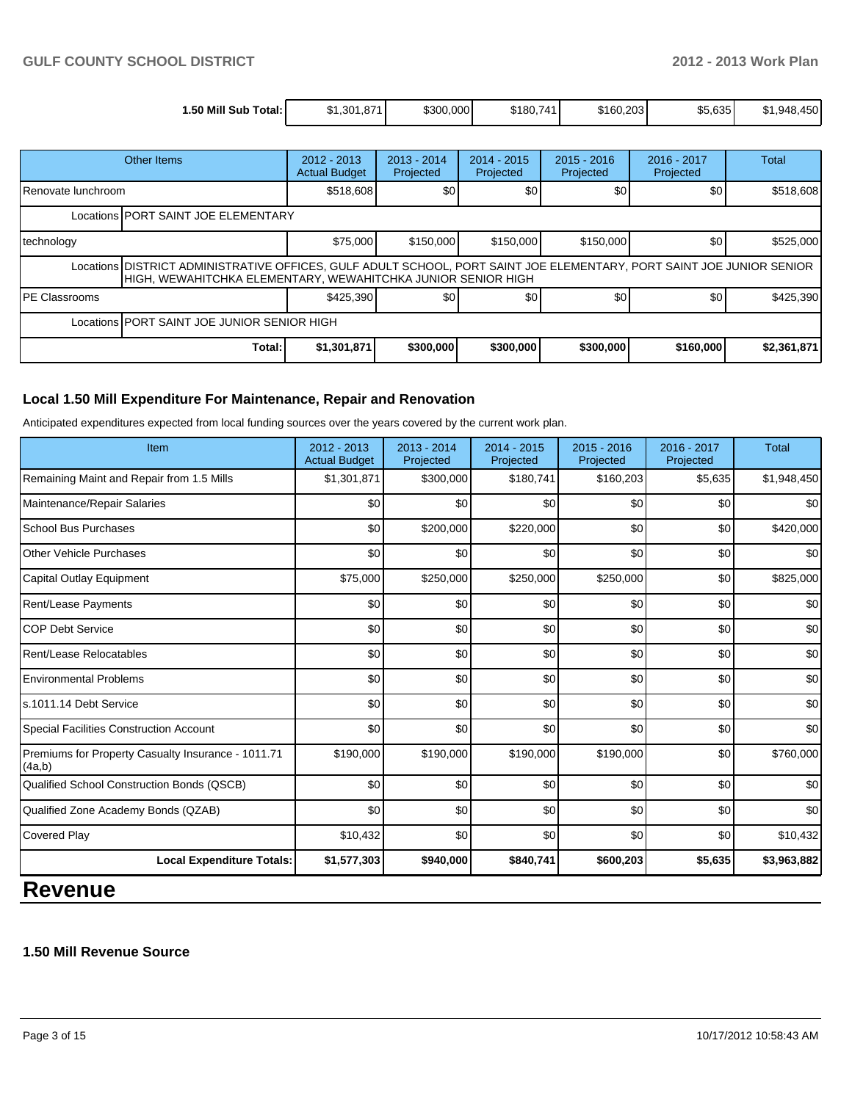| 1.50 Mill Sub<br><b>ा</b> otal: । | ა1.301.871΄ | \$300,000 | \$180,741 | \$160.203 | \$5,635 | .450<br>\$1.948. |
|-----------------------------------|-------------|-----------|-----------|-----------|---------|------------------|

|                                                                                                                                                                                       | <b>Other Items</b> | $2012 - 2013$<br><b>Actual Budget</b> | $2013 - 2014$<br>Projected | $2014 - 2015$<br>Projected | $2015 - 2016$<br>Projected | $2016 - 2017$<br>Projected | Total       |  |
|---------------------------------------------------------------------------------------------------------------------------------------------------------------------------------------|--------------------|---------------------------------------|----------------------------|----------------------------|----------------------------|----------------------------|-------------|--|
| I Renovate lunchroom                                                                                                                                                                  |                    | \$518,608                             | \$0                        | \$0                        | \$0                        | \$0                        | \$518,608   |  |
| Locations PORT SAINT JOE ELEMENTARY                                                                                                                                                   |                    |                                       |                            |                            |                            |                            |             |  |
| technology                                                                                                                                                                            |                    | \$75,000                              | \$150,000                  | \$150,000                  | \$150,000                  | \$0                        | \$525,000   |  |
| Locations DISTRICT ADMINISTRATIVE OFFICES, GULF ADULT SCHOOL, PORT SAINT JOE ELEMENTARY, PORT SAINT JOE JUNIOR SENIOR<br>HIGH, WEWAHITCHKA ELEMENTARY, WEWAHITCHKA JUNIOR SENIOR HIGH |                    |                                       |                            |                            |                            |                            |             |  |
| IPE Classrooms                                                                                                                                                                        |                    | \$425,390                             | \$0                        | \$0                        | <b>\$01</b>                | \$0 <sub>1</sub>           | \$425,390   |  |
| Locations PORT SAINT JOE JUNIOR SENIOR HIGH                                                                                                                                           |                    |                                       |                            |                            |                            |                            |             |  |
|                                                                                                                                                                                       | Total:             | \$1,301,871                           | \$300,000                  | \$300,000                  | \$300,000                  | \$160,000                  | \$2,361,871 |  |

### **Local 1.50 Mill Expenditure For Maintenance, Repair and Renovation**

Anticipated expenditures expected from local funding sources over the years covered by the current work plan.

| Item                                                         | 2012 - 2013<br><b>Actual Budget</b> | 2013 - 2014<br>Projected | $2014 - 2015$<br>Projected | $2015 - 2016$<br>Projected | 2016 - 2017<br>Projected | <b>Total</b> |
|--------------------------------------------------------------|-------------------------------------|--------------------------|----------------------------|----------------------------|--------------------------|--------------|
| Remaining Maint and Repair from 1.5 Mills                    | \$1,301,871                         | \$300,000                | \$180,741                  | \$160,203                  | \$5,635                  | \$1,948,450  |
| Maintenance/Repair Salaries                                  | \$0                                 | \$0                      | \$0                        | \$0                        | \$0                      | \$0          |
| School Bus Purchases                                         | \$0                                 | \$200,000                | \$220,000                  | \$0                        | \$0                      | \$420,000    |
| <b>Other Vehicle Purchases</b>                               | \$0                                 | \$0                      | \$0                        | \$0                        | \$0                      | \$0          |
| Capital Outlay Equipment                                     | \$75,000                            | \$250,000                | \$250,000                  | \$250,000                  | \$0                      | \$825,000    |
| Rent/Lease Payments                                          | \$0                                 | \$0                      | \$0                        | \$0                        | \$0                      | \$0          |
| <b>COP Debt Service</b>                                      | \$0                                 | \$0                      | \$0                        | \$0                        | \$0                      | \$0          |
| Rent/Lease Relocatables                                      | \$0                                 | \$0                      | \$0                        | \$0                        | \$0                      | \$0          |
| <b>Environmental Problems</b>                                | \$0                                 | \$0                      | \$0                        | \$0                        | \$0                      | \$0          |
| ls.1011.14 Debt Service                                      | \$0                                 | \$0                      | \$0                        | \$0                        | \$0                      | \$0          |
| <b>Special Facilities Construction Account</b>               | \$0                                 | \$0                      | \$0                        | \$0                        | \$0                      | \$0          |
| Premiums for Property Casualty Insurance - 1011.71<br>(4a,b) | \$190,000                           | \$190,000                | \$190,000                  | \$190,000                  | \$0                      | \$760,000    |
| Qualified School Construction Bonds (QSCB)                   | \$0                                 | \$0                      | \$0                        | \$0                        | \$0                      | \$0          |
| Qualified Zone Academy Bonds (QZAB)                          | \$0                                 | \$0                      | \$0                        | \$0                        | \$0                      | \$0          |
| <b>Covered Play</b>                                          | \$10,432                            | \$0                      | \$0                        | \$0                        | \$0                      | \$10,432     |
| <b>Local Expenditure Totals:</b>                             | \$1,577,303                         | \$940,000                | \$840,741                  | \$600,203                  | \$5,635                  | \$3,963,882  |
|                                                              |                                     |                          |                            |                            |                          |              |

### **Revenue**

### **1.50 Mill Revenue Source**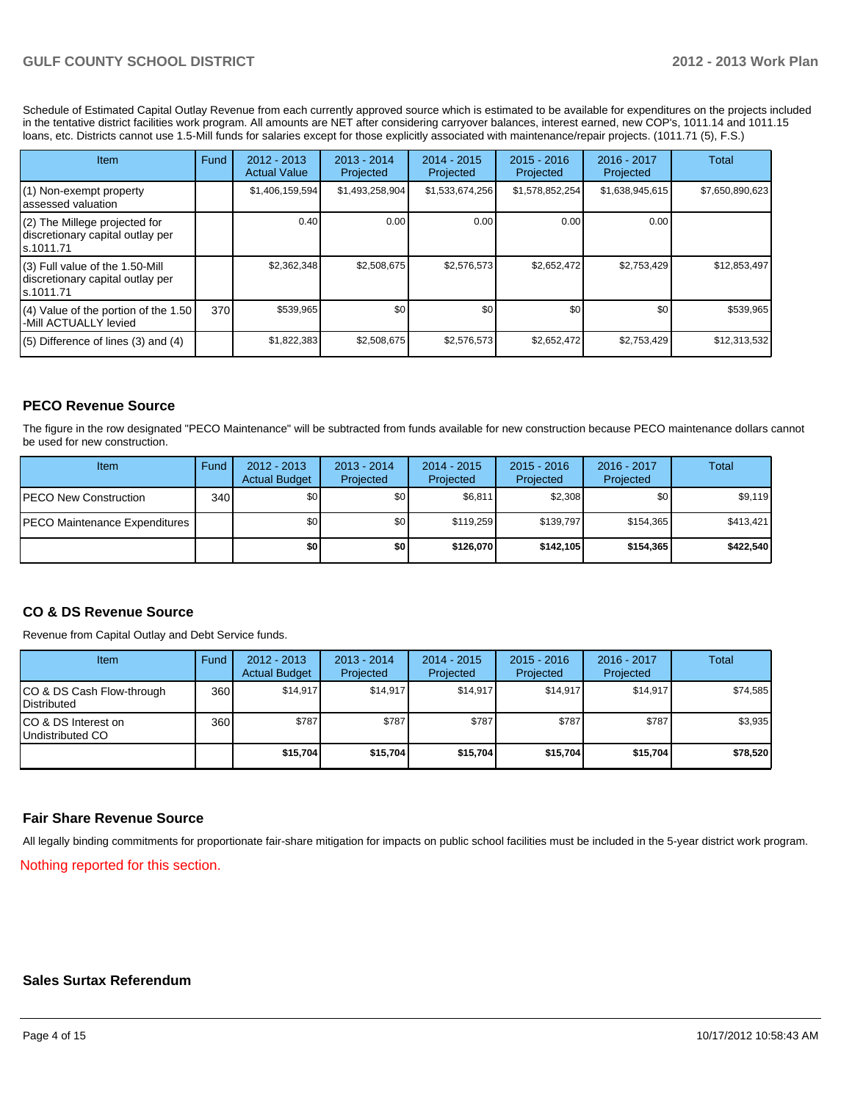Schedule of Estimated Capital Outlay Revenue from each currently approved source which is estimated to be available for expenditures on the projects included in the tentative district facilities work program. All amounts are NET after considering carryover balances, interest earned, new COP's, 1011.14 and 1011.15 loans, etc. Districts cannot use 1.5-Mill funds for salaries except for those explicitly associated with maintenance/repair projects. (1011.71 (5), F.S.)

| Item                                                                                | Fund | $2012 - 2013$<br><b>Actual Value</b> | $2013 - 2014$<br>Projected | $2014 - 2015$<br>Projected | $2015 - 2016$<br>Projected | 2016 - 2017<br>Projected | Total           |
|-------------------------------------------------------------------------------------|------|--------------------------------------|----------------------------|----------------------------|----------------------------|--------------------------|-----------------|
| (1) Non-exempt property<br>lassessed valuation                                      |      | \$1,406,159,594                      | \$1,493,258,904            | \$1,533,674,256            | \$1,578,852,254            | \$1,638,945,615          | \$7,650,890,623 |
| (2) The Millege projected for<br>discretionary capital outlay per<br>ls.1011.71     |      | 0.40                                 | 0.00                       | 0.00                       | 0.00                       | 0.00                     |                 |
| $(3)$ Full value of the 1.50-Mill<br>discretionary capital outlay per<br>ls.1011.71 |      | \$2,362,348                          | \$2,508,675                | \$2,576,573                | \$2,652,472                | \$2,753,429              | \$12,853,497    |
| $(4)$ Value of the portion of the 1.50<br>-Mill ACTUALLY levied                     | 370  | \$539,965                            | \$0                        | \$0                        | \$0                        | \$0                      | \$539,965       |
| $(5)$ Difference of lines (3) and (4)                                               |      | \$1,822,383                          | \$2,508,675                | \$2,576,573                | \$2,652,472                | \$2,753,429              | \$12,313,532    |

### **PECO Revenue Source**

The figure in the row designated "PECO Maintenance" will be subtracted from funds available for new construction because PECO maintenance dollars cannot be used for new construction.

| Item                                  | Fund | $2012 - 2013$<br><b>Actual Budget</b> | $2013 - 2014$<br>Projected | $2014 - 2015$<br>Projected | $2015 - 2016$<br>Projected | $2016 - 2017$<br>Projected | Total     |
|---------------------------------------|------|---------------------------------------|----------------------------|----------------------------|----------------------------|----------------------------|-----------|
| <b>IPECO New Construction</b>         | 340  | \$0                                   | \$0                        | \$6,811                    | \$2.308                    | \$0                        | \$9.119   |
| <b>IPECO Maintenance Expenditures</b> |      | \$0                                   | \$0 <sub>1</sub>           | \$119.259                  | \$139.797                  | \$154,365                  | \$413.421 |
|                                       |      | \$0                                   | \$0 I                      | \$126.070                  | \$142.105                  | \$154.365                  | \$422,540 |

### **CO & DS Revenue Source**

Revenue from Capital Outlay and Debt Service funds.

| Item                                              | Fund | $2012 - 2013$<br><b>Actual Budget</b> | $2013 - 2014$<br>Projected | $2014 - 2015$<br>Projected | $2015 - 2016$<br>Projected | $2016 - 2017$<br>Projected | Total    |
|---------------------------------------------------|------|---------------------------------------|----------------------------|----------------------------|----------------------------|----------------------------|----------|
| CO & DS Cash Flow-through<br><b>I</b> Distributed | 360  | \$14.917                              | \$14.917                   | \$14.917                   | \$14.917                   | \$14.917                   | \$74,585 |
| ICO & DS Interest on<br>Undistributed CO          | 360  | \$787                                 | \$787                      | \$787                      | \$787                      | \$787                      | \$3,935  |
|                                                   |      | \$15,704                              | \$15,704                   | \$15,704                   | \$15,704                   | \$15,704                   | \$78,520 |

### **Fair Share Revenue Source**

All legally binding commitments for proportionate fair-share mitigation for impacts on public school facilities must be included in the 5-year district work program.

Nothing reported for this section.

#### **Sales Surtax Referendum**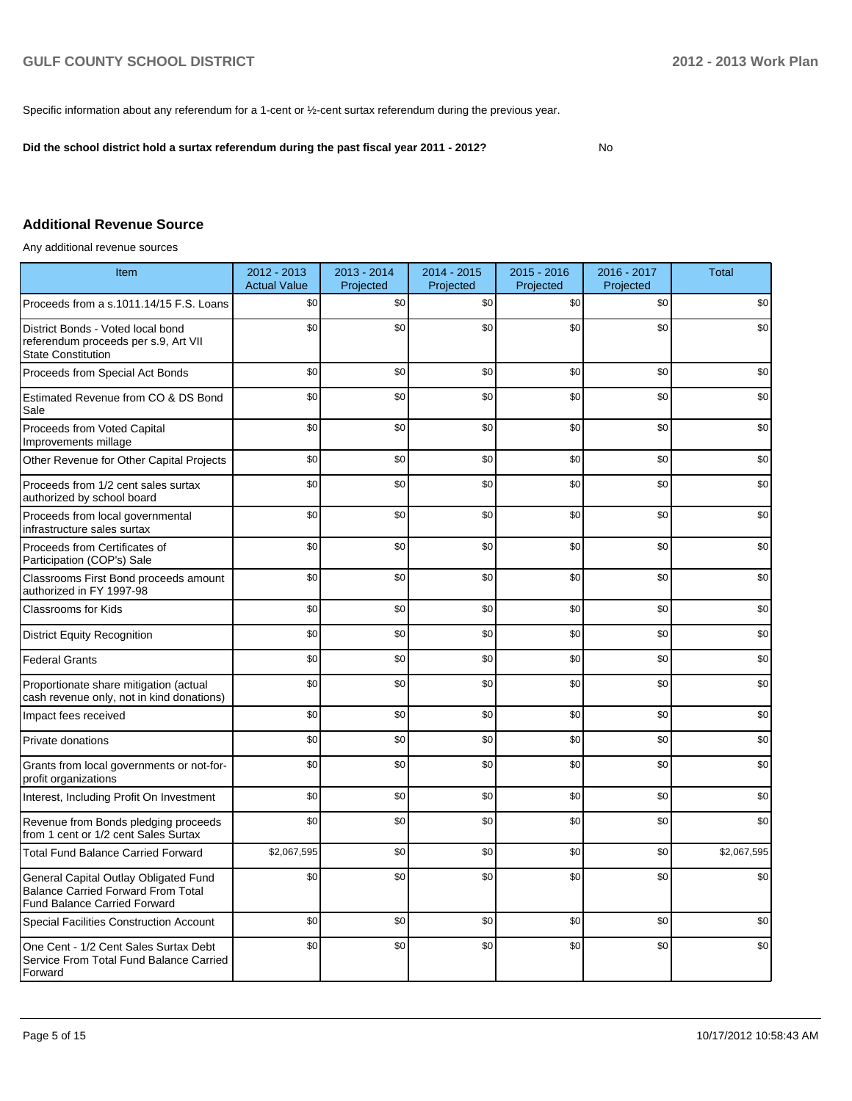Specific information about any referendum for a 1-cent or ½-cent surtax referendum during the previous year.

**Did the school district hold a surtax referendum during the past fiscal year 2011 - 2012?**

No

### **Additional Revenue Source**

Any additional revenue sources

| Item                                                                                                                      | 2012 - 2013<br><b>Actual Value</b> | 2013 - 2014<br>Projected | 2014 - 2015<br>Projected | $2015 - 2016$<br>Projected | 2016 - 2017<br>Projected | Total       |
|---------------------------------------------------------------------------------------------------------------------------|------------------------------------|--------------------------|--------------------------|----------------------------|--------------------------|-------------|
| Proceeds from a s.1011.14/15 F.S. Loans                                                                                   | \$0                                | \$0                      | \$0                      | \$0                        | \$0                      | \$0         |
| District Bonds - Voted local bond<br>referendum proceeds per s.9, Art VII<br><b>State Constitution</b>                    | \$0                                | \$0                      | \$0                      | \$0                        | \$0                      | \$0         |
| Proceeds from Special Act Bonds                                                                                           | \$0                                | \$0                      | \$0                      | \$0                        | \$0                      | \$0         |
| Estimated Revenue from CO & DS Bond<br>Sale                                                                               | \$0                                | \$0                      | \$0                      | \$0                        | \$0                      | \$0         |
| Proceeds from Voted Capital<br>Improvements millage                                                                       | \$0                                | \$0                      | \$0                      | \$0                        | \$0                      | \$0         |
| Other Revenue for Other Capital Projects                                                                                  | \$0                                | \$0                      | \$0                      | \$0                        | \$0                      | \$0         |
| Proceeds from 1/2 cent sales surtax<br>authorized by school board                                                         | \$0                                | \$0                      | \$0                      | \$0                        | \$0                      | \$0         |
| Proceeds from local governmental<br>infrastructure sales surtax                                                           | \$0                                | \$0                      | \$0                      | \$0                        | \$0                      | \$0         |
| Proceeds from Certificates of<br>Participation (COP's) Sale                                                               | \$0                                | \$0                      | \$0                      | \$0                        | \$0                      | \$0         |
| Classrooms First Bond proceeds amount<br>authorized in FY 1997-98                                                         | \$0                                | \$0                      | \$0                      | \$0                        | \$0                      | \$0         |
| Classrooms for Kids                                                                                                       | \$0                                | \$0                      | \$0                      | \$0                        | \$0                      | \$0         |
| <b>District Equity Recognition</b>                                                                                        | \$0                                | \$0                      | \$0                      | \$0                        | \$0                      | \$0         |
| <b>Federal Grants</b>                                                                                                     | \$0                                | \$0                      | \$0                      | \$0                        | \$0                      | \$0         |
| Proportionate share mitigation (actual<br>cash revenue only, not in kind donations)                                       | \$0                                | \$0                      | \$0                      | \$0                        | \$0                      | \$0         |
| Impact fees received                                                                                                      | \$0                                | \$0                      | \$0                      | \$0                        | \$0                      | \$0         |
| Private donations                                                                                                         | \$0                                | \$0                      | \$0                      | \$0                        | \$0                      | \$0         |
| Grants from local governments or not-for-<br>profit organizations                                                         | \$0                                | \$0                      | \$0                      | \$0                        | \$0                      | \$0         |
| Interest, Including Profit On Investment                                                                                  | \$0                                | \$0                      | \$0                      | \$0                        | \$0                      | \$0         |
| Revenue from Bonds pledging proceeds<br>from 1 cent or 1/2 cent Sales Surtax                                              | \$0                                | \$0                      | \$0                      | \$0                        | \$0                      | \$0         |
| <b>Total Fund Balance Carried Forward</b>                                                                                 | \$2,067,595                        | \$0                      | \$0                      | \$0                        | \$0                      | \$2.067.595 |
| General Capital Outlay Obligated Fund<br><b>Balance Carried Forward From Total</b><br><b>Fund Balance Carried Forward</b> | \$0                                | \$0                      | \$0                      | \$0                        | \$0                      | \$0         |
| <b>Special Facilities Construction Account</b>                                                                            | \$0                                | \$0                      | \$0                      | \$0                        | \$0                      | \$0         |
| One Cent - 1/2 Cent Sales Surtax Debt<br>Service From Total Fund Balance Carried<br>Forward                               | \$0                                | \$0                      | \$0                      | \$0                        | \$0                      | \$0         |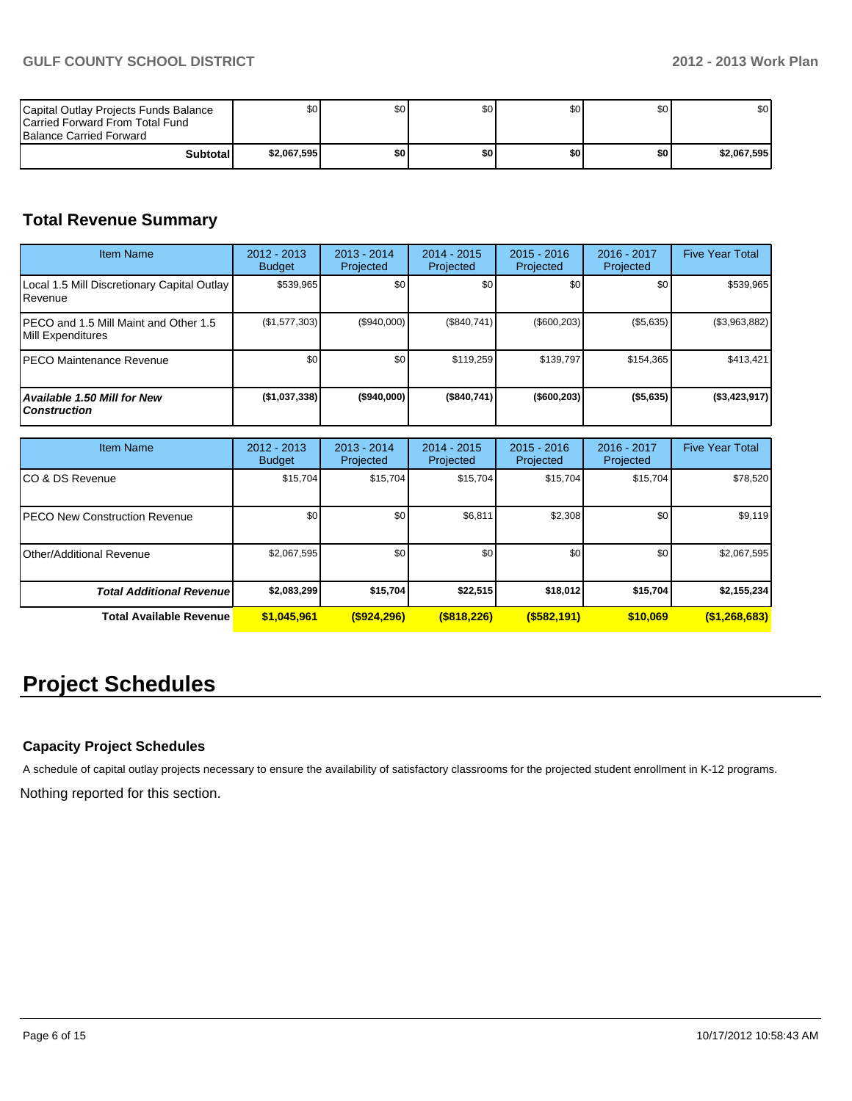| Capital Outlay Projects Funds Balance<br><b>ICarried Forward From Total Fund</b><br><b>Balance Carried Forward</b> | \$O I       | \$0 | \$0 | \$0 | \$0 | \$0         |
|--------------------------------------------------------------------------------------------------------------------|-------------|-----|-----|-----|-----|-------------|
| Subtotal                                                                                                           | \$2,067,595 | \$O | \$0 | \$0 | \$0 | \$2,067,595 |

### **Total Revenue Summary**

| <b>Item Name</b>                                           | 2012 - 2013<br><b>Budget</b> | $2013 - 2014$<br>Projected | $2014 - 2015$<br>Projected | $2015 - 2016$<br>Projected | 2016 - 2017<br>Projected | <b>Five Year Total</b> |
|------------------------------------------------------------|------------------------------|----------------------------|----------------------------|----------------------------|--------------------------|------------------------|
| Local 1.5 Mill Discretionary Capital Outlay<br>l Revenue   | \$539,965                    | \$0 <sub>1</sub>           | \$0                        | \$0                        | \$0                      | \$539,965              |
| PECO and 1.5 Mill Maint and Other 1.5<br>Mill Expenditures | (\$1,577,303)                | (\$940,000)                | (S840.741)                 | (\$600, 203)               | (\$5,635)                | (\$3,963,882)          |
| IPECO Maintenance Revenue                                  | \$0                          | \$0 <sub>1</sub>           | \$119.259                  | \$139,797                  | \$154.365                | \$413,421              |
| Available 1.50 Mill for New<br><b>Construction</b>         | (\$1,037,338)                | $($ \$940,000)             | (\$840,741)                | $($ \$600,203)             | ( \$5,635)               | (\$3,423,917)          |

| <b>Item Name</b>                      | 2012 - 2013<br><b>Budget</b> | $2013 - 2014$<br>Projected | $2014 - 2015$<br>Projected | $2015 - 2016$<br>Projected | 2016 - 2017<br>Projected | <b>Five Year Total</b> |
|---------------------------------------|------------------------------|----------------------------|----------------------------|----------------------------|--------------------------|------------------------|
| ICO & DS Revenue                      | \$15,704                     | \$15,704                   | \$15,704                   | \$15,704                   | \$15,704                 | \$78,520               |
| <b>IPECO New Construction Revenue</b> | \$0                          | \$0 <sub>1</sub>           | \$6,811                    | \$2,308                    | \$0                      | \$9,119                |
| Other/Additional Revenue              | \$2,067,595                  | \$0                        | \$0                        | \$0                        | \$0                      | \$2,067,595            |
| <b>Total Additional Revenuel</b>      | \$2,083,299                  | \$15,704                   | \$22,515                   | \$18,012                   | \$15,704                 | \$2,155,234            |
| <b>Total Available Revenue</b>        | \$1,045,961                  | $($ \$924,296)             | $($ \$818,226)             | $($ \$582,191)             | \$10.069                 | (\$1,268,683)          |

## **Project Schedules**

### **Capacity Project Schedules**

A schedule of capital outlay projects necessary to ensure the availability of satisfactory classrooms for the projected student enrollment in K-12 programs.

Nothing reported for this section.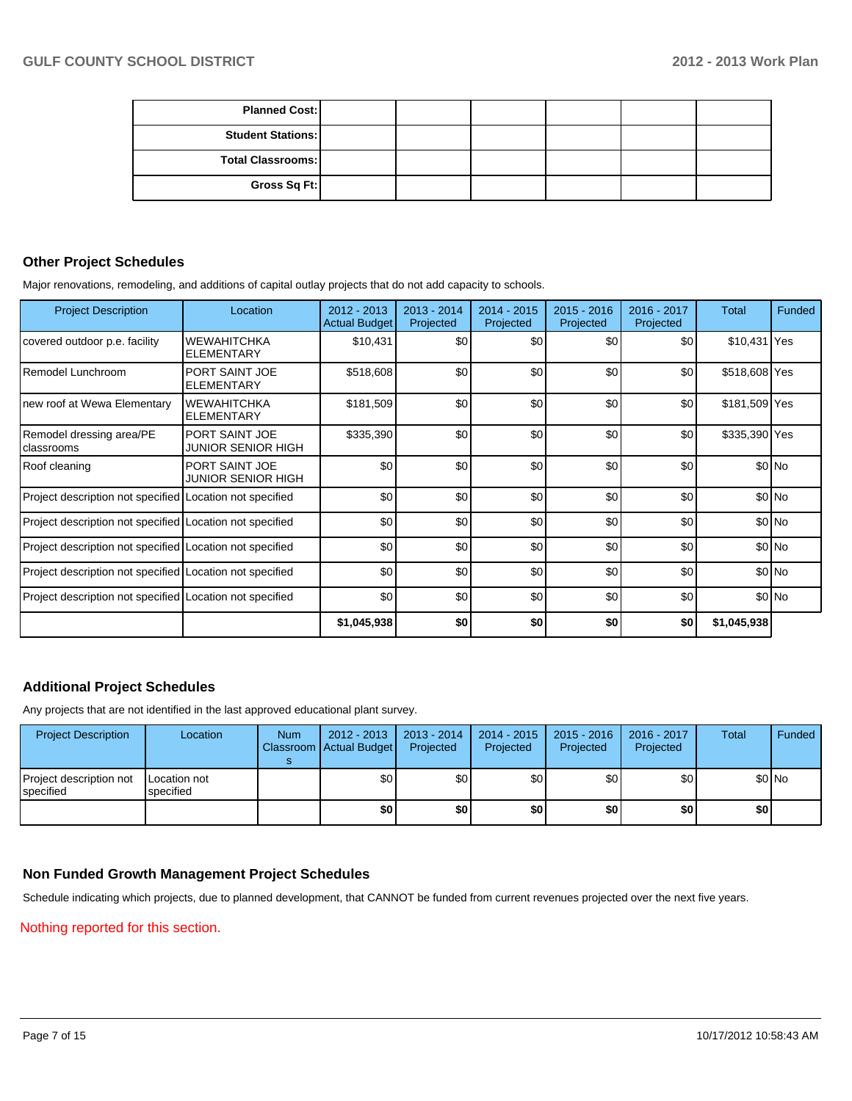| <b>Planned Cost:</b>     |  |  |  |
|--------------------------|--|--|--|
| <b>Student Stations:</b> |  |  |  |
| <b>Total Classrooms:</b> |  |  |  |
| Gross Sq Ft:             |  |  |  |

### **Other Project Schedules**

Major renovations, remodeling, and additions of capital outlay projects that do not add capacity to schools.

| <b>Project Description</b>                               | Location                                | 2012 - 2013<br><b>Actual Budget</b> | $2013 - 2014$<br>Projected | $2014 - 2015$<br>Projected | $2015 - 2016$<br>Projected | 2016 - 2017<br>Projected | Total         | Funded  |
|----------------------------------------------------------|-----------------------------------------|-------------------------------------|----------------------------|----------------------------|----------------------------|--------------------------|---------------|---------|
| covered outdoor p.e. facility                            | <b>WEWAHITCHKA</b><br><b>ELEMENTARY</b> | \$10,431                            | \$0                        | \$0                        | \$0                        | \$0                      | \$10,431 Yes  |         |
| Remodel Lunchroom                                        | PORT SAINT JOE<br><b>ELEMENTARY</b>     | \$518,608                           | \$0                        | \$0                        | \$0                        | \$0                      | \$518,608 Yes |         |
| new roof at Wewa Elementary                              | <b>WEWAHITCHKA</b><br><b>ELEMENTARY</b> | \$181,509                           | \$0                        | \$0                        | \$0                        | \$0                      | \$181,509 Yes |         |
| Remodel dressing area/PE<br>classrooms                   | PORT SAINT JOE<br>JUNIOR SENIOR HIGH    | \$335,390                           | \$0                        | \$0                        | \$0                        | \$0                      | \$335,390 Yes |         |
| Roof cleaning                                            | PORT SAINT JOE<br>JUNIOR SENIOR HIGH    | \$0                                 | \$0                        | \$0                        | \$0                        | \$0                      |               | \$0 No  |
| Project description not specified Location not specified |                                         | \$0                                 | \$0                        | \$0                        | \$0                        | \$0                      |               | $$0$ No |
| Project description not specified Location not specified |                                         | \$0                                 | \$0                        | \$0                        | \$0                        | \$0                      |               | $$0$ No |
| Project description not specified Location not specified |                                         | \$0                                 | \$0                        | \$0                        | \$0                        | \$0                      |               | $$0$ No |
| Project description not specified Location not specified |                                         | \$0                                 | \$0                        | \$0                        | \$0                        | \$0                      |               | $$0$ No |
| Project description not specified Location not specified |                                         | \$0                                 | \$0                        | \$0                        | \$0                        | \$0                      |               | $$0$ No |
|                                                          |                                         | \$1,045,938                         | \$0                        | \$0                        | \$0                        | \$0                      | \$1,045,938   |         |

### **Additional Project Schedules**

Any projects that are not identified in the last approved educational plant survey.

| <b>Project Description</b>           | Location                  | <b>Num</b> | $2012 - 2013$<br>Classroom Actual Budget | 2013 - 2014<br>Projected | $2014 - 2015$<br>Projected | 2015 - 2016<br>Projected | 2016 - 2017<br>Projected | Total | Funded |
|--------------------------------------|---------------------------|------------|------------------------------------------|--------------------------|----------------------------|--------------------------|--------------------------|-------|--------|
| Project description not<br>specified | Location not<br>specified |            | \$0                                      | \$0 <sub>1</sub>         | \$0                        | \$0                      | \$0                      |       | \$0 No |
|                                      |                           |            | \$0                                      | \$0                      | \$0                        | \$0                      | \$0                      | \$0   |        |

### **Non Funded Growth Management Project Schedules**

Schedule indicating which projects, due to planned development, that CANNOT be funded from current revenues projected over the next five years.

### Nothing reported for this section.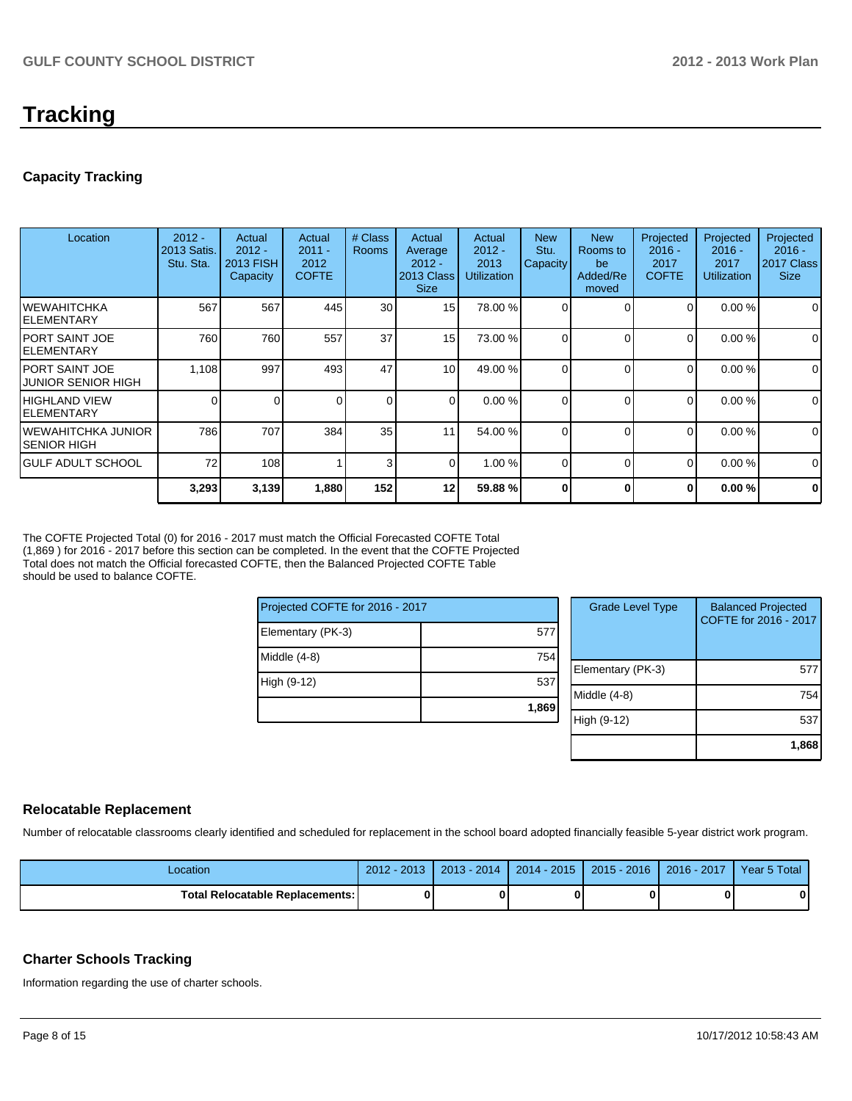## **Tracking**

### **Capacity Tracking**

| Location                               | $2012 -$<br>2013 Satis.<br>Stu. Sta. | Actual<br>$2012 -$<br>2013 FISH<br>Capacity | Actual<br>$2011 -$<br>2012<br><b>COFTE</b> | # Class<br><b>Rooms</b> | Actual<br>Average<br>$2012 -$<br>2013 Class<br><b>Size</b> | Actual<br>$2012 -$<br>2013<br><b>Utilization</b> | <b>New</b><br>Stu.<br>Capacity | <b>New</b><br>Rooms to<br>be<br>Added/Re<br>moved | Projected<br>$2016 -$<br>2017<br><b>COFTE</b> | Projected<br>$2016 -$<br>2017<br><b>Utilization</b> | Projected<br>$2016 -$<br>2017 Class<br><b>Size</b> |
|----------------------------------------|--------------------------------------|---------------------------------------------|--------------------------------------------|-------------------------|------------------------------------------------------------|--------------------------------------------------|--------------------------------|---------------------------------------------------|-----------------------------------------------|-----------------------------------------------------|----------------------------------------------------|
| IWEWAHITCHKA<br>IELEMENTARY            | 567                                  | 567                                         | 445                                        | 30                      | 15                                                         | 78.00 %                                          | $\Omega$                       |                                                   | $\Omega$                                      | 0.00%                                               | 0                                                  |
| IPORT SAINT JOE<br>IELEMENTARY         | 760                                  | 760                                         | 557                                        | 37                      | 15                                                         | 73.00 %                                          |                                | $\Omega$                                          | $\Omega$                                      | 0.00%                                               | $\mathbf 0$                                        |
| IPORT SAINT JOE<br>IJUNIOR SENIOR HIGH | 1,108                                | 997                                         | 493                                        | 47                      | 10 <sup>1</sup>                                            | 49.00 %                                          |                                | ∩                                                 | 0                                             | 0.00%                                               | $\mathbf 0$                                        |
| IHIGHLAND VIEW<br>IELEMENTARY          | 0                                    |                                             |                                            | $\Omega$                | $\Omega$                                                   | 0.00%                                            | $\Omega$                       | $\Omega$                                          | $\Omega$                                      | 0.00%                                               | $\mathbf 0$                                        |
| IWEWAHITCHKA JUNIOR<br>ISENIOR HIGH    | 786                                  | 707                                         | 384                                        | 35                      | 11                                                         | 54.00 %                                          |                                | $\Omega$                                          | $\Omega$                                      | 0.00%                                               | $\mathbf 0$                                        |
| IGULF ADULT SCHOOL                     | 72                                   | 108                                         |                                            | 3                       | $\Omega$                                                   | 1.00 %                                           | $\Omega$                       | $\Omega$                                          | $\Omega$                                      | 0.00%                                               | $\Omega$                                           |
|                                        | 3,293                                | 3,139                                       | 1,880                                      | 152                     | 12                                                         | 59.88 %                                          | U                              | 0                                                 | 0                                             | 0.00%                                               | $\mathbf 0$                                        |

The COFTE Projected Total (0) for 2016 - 2017 must match the Official Forecasted COFTE Total (1,869 ) for 2016 - 2017 before this section can be completed. In the event that the COFTE Projected Total does not match the Official forecasted COFTE, then the Balanced Projected COFTE Table should be used to balance COFTE.

| Projected COFTE for 2016 - 2017 |       |  |  |  |  |  |
|---------------------------------|-------|--|--|--|--|--|
| Elementary (PK-3)               | 577   |  |  |  |  |  |
| Middle $(4-8)$                  | 754   |  |  |  |  |  |
| High (9-12)                     | 537   |  |  |  |  |  |
|                                 | 1,869 |  |  |  |  |  |

| <b>Grade Level Type</b> | <b>Balanced Projected</b><br>COFTE for 2016 - 2017 |
|-------------------------|----------------------------------------------------|
| Elementary (PK-3)       | 57                                                 |
| Middle (4-8)            | 754                                                |
| High (9-12)             | 537                                                |
|                         | 1,868                                              |

### **Relocatable Replacement**

Number of relocatable classrooms clearly identified and scheduled for replacement in the school board adopted financially feasible 5-year district work program.

| Location                                 | 2013<br>2012 | $2013 - 2014$ | $2014 - 2015$ | $2015 - 2016$ | $2016 - 2017$ | Year 5 Total |
|------------------------------------------|--------------|---------------|---------------|---------------|---------------|--------------|
| <b>Total Relocatable Replacements: I</b> |              |               |               |               |               | 0            |

### **Charter Schools Tracking**

Information regarding the use of charter schools.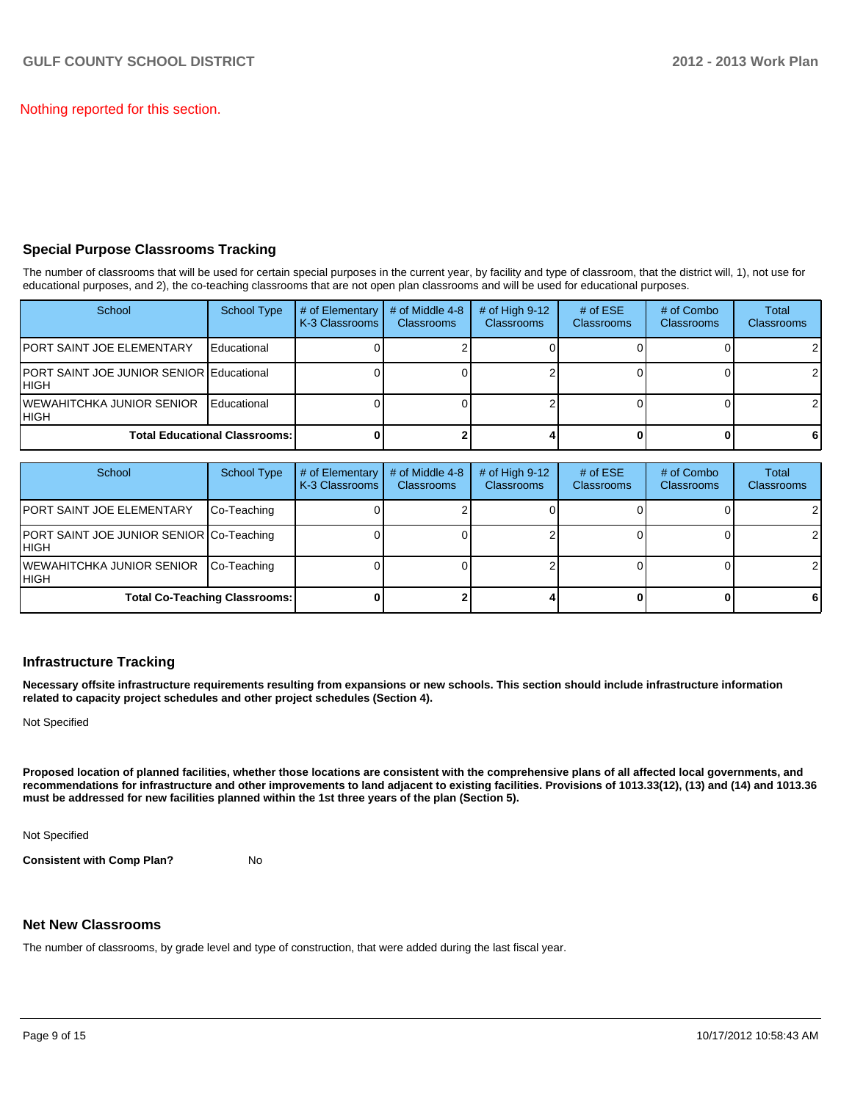Nothing reported for this section.

### **Special Purpose Classrooms Tracking**

The number of classrooms that will be used for certain special purposes in the current year, by facility and type of classroom, that the district will, 1), not use for educational purposes, and 2), the co-teaching classrooms that are not open plan classrooms and will be used for educational purposes.

| School                                            | School Type        | # of Elementary<br>K-3 Classrooms | # of Middle 4-8<br><b>Classrooms</b> | # of High $9-12$<br><b>Classrooms</b> | # of $ESE$<br>Classrooms | # of Combo<br><b>Classrooms</b> | <b>Total</b><br><b>Classrooms</b> |
|---------------------------------------------------|--------------------|-----------------------------------|--------------------------------------|---------------------------------------|--------------------------|---------------------------------|-----------------------------------|
| IPORT SAINT JOE ELEMENTARY                        | Educational        |                                   |                                      |                                       |                          |                                 |                                   |
| PORT SAINT JOE JUNIOR SENIOR Educational<br>IHIGH |                    |                                   |                                      |                                       |                          |                                 |                                   |
| IWEWAHITCHKA JUNIOR SENIOR<br>IHIGH               | <b>Educational</b> |                                   |                                      |                                       |                          |                                 |                                   |
| <b>Total Educational Classrooms: I</b>            |                    |                                   |                                      |                                       |                          |                                 | 6                                 |

| School                                            | <b>School Type</b> | # of Elementary<br>K-3 Classrooms | # of Middle 4-8<br><b>Classrooms</b> | # of High $9-12$<br><b>Classrooms</b> | # of $ESE$<br>Classrooms | # of Combo<br><b>Classrooms</b> | <b>Total</b><br><b>Classrooms</b> |
|---------------------------------------------------|--------------------|-----------------------------------|--------------------------------------|---------------------------------------|--------------------------|---------------------------------|-----------------------------------|
| <b>PORT SAINT JOE ELEMENTARY</b>                  | Co-Teaching        |                                   |                                      |                                       |                          |                                 |                                   |
| PORT SAINT JOE JUNIOR SENIOR Co-Teaching<br>IHIGH |                    |                                   |                                      |                                       |                          |                                 | 21                                |
| <b>IWEWAHITCHKA JUNIOR SENIOR</b><br>IHIGH        | Co-Teaching        |                                   |                                      |                                       |                          |                                 |                                   |
| <b>Total Co-Teaching Classrooms:</b>              |                    |                                   |                                      |                                       |                          |                                 | 6                                 |

### **Infrastructure Tracking**

**Necessary offsite infrastructure requirements resulting from expansions or new schools. This section should include infrastructure information related to capacity project schedules and other project schedules (Section 4).**

Not Specified

**Proposed location of planned facilities, whether those locations are consistent with the comprehensive plans of all affected local governments, and recommendations for infrastructure and other improvements to land adjacent to existing facilities. Provisions of 1013.33(12), (13) and (14) and 1013.36 must be addressed for new facilities planned within the 1st three years of the plan (Section 5).**

Not Specified

**Consistent with Comp Plan?** No

### **Net New Classrooms**

The number of classrooms, by grade level and type of construction, that were added during the last fiscal year.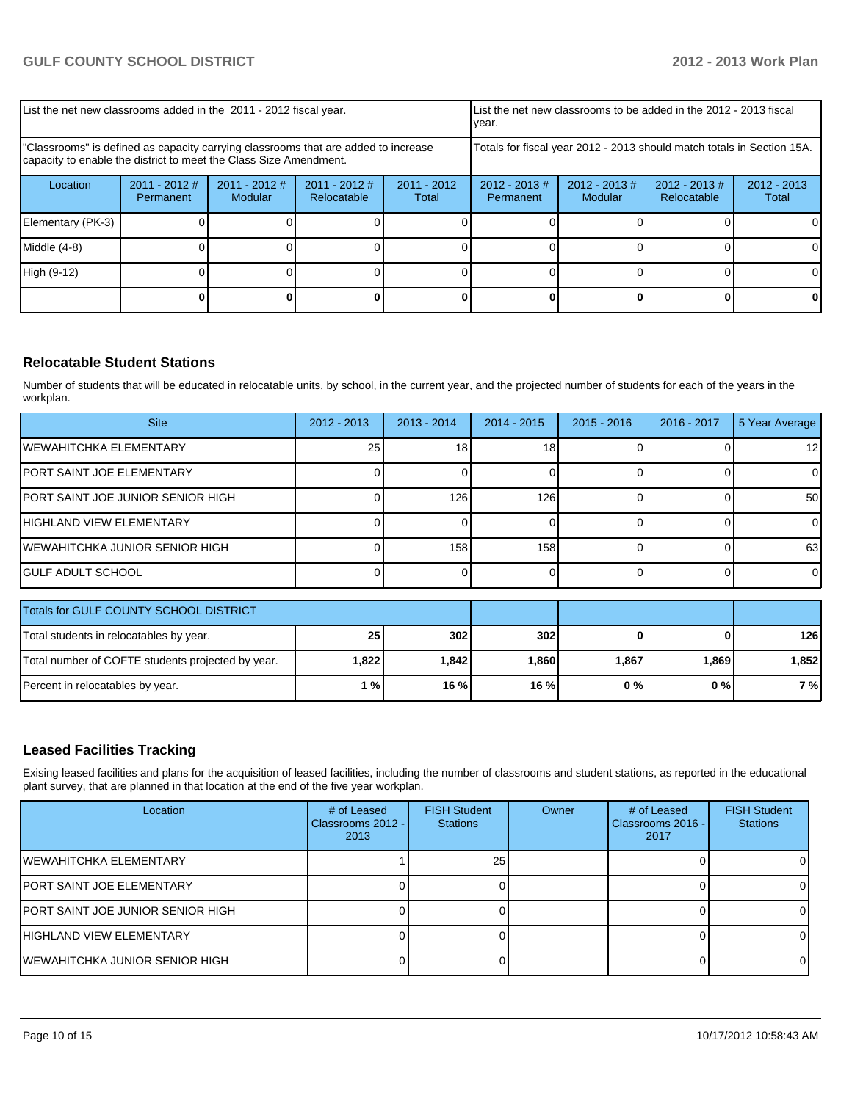| List the net new classrooms added in the 2011 - 2012 fiscal year.                                                                                       |                              |                            |                                |                        | List the net new classrooms to be added in the 2012 - 2013 fiscal<br>year. |                            |                                |                        |
|---------------------------------------------------------------------------------------------------------------------------------------------------------|------------------------------|----------------------------|--------------------------------|------------------------|----------------------------------------------------------------------------|----------------------------|--------------------------------|------------------------|
| "Classrooms" is defined as capacity carrying classrooms that are added to increase<br>capacity to enable the district to meet the Class Size Amendment. |                              |                            |                                |                        | Totals for fiscal year 2012 - 2013 should match totals in Section 15A.     |                            |                                |                        |
| Location                                                                                                                                                | $2011 - 2012$ #<br>Permanent | $2011 - 2012$ #<br>Modular | $2011 - 2012$ #<br>Relocatable | $2011 - 2012$<br>Total | $2012 - 2013$ #<br>Permanent                                               | $2012 - 2013$ #<br>Modular | $2012 - 2013$ #<br>Relocatable | $2012 - 2013$<br>Total |
| Elementary (PK-3)                                                                                                                                       |                              |                            |                                |                        |                                                                            |                            |                                | ΩI                     |
| Middle (4-8)                                                                                                                                            |                              |                            |                                |                        |                                                                            |                            |                                | ΟI                     |
| High (9-12)                                                                                                                                             |                              |                            |                                |                        |                                                                            |                            |                                |                        |
|                                                                                                                                                         |                              |                            |                                |                        |                                                                            |                            |                                |                        |

### **Relocatable Student Stations**

Number of students that will be educated in relocatable units, by school, in the current year, and the projected number of students for each of the years in the workplan.

| <b>Site</b>                       | $2012 - 2013$ | $2013 - 2014$ | $2014 - 2015$   | $2015 - 2016$ | 2016 - 2017 | 5 Year Average  |
|-----------------------------------|---------------|---------------|-----------------|---------------|-------------|-----------------|
| WEWAHITCHKA ELEMENTARY            | 25            | 18            | 18 <sub>1</sub> |               |             | 12 <sub>l</sub> |
| PORT SAINT JOE ELEMENTARY         |               |               |                 |               |             |                 |
| PORT SAINT JOE JUNIOR SENIOR HIGH |               | 126           | 126             |               |             | 50 <sub>1</sub> |
| HIGHLAND VIEW ELEMENTARY          |               |               |                 |               |             |                 |
| IWEWAHITCHKA JUNIOR SENIOR HIGH   |               | 158           | 158             |               |             | 63              |
| IGULF ADULT SCHOOL                |               |               |                 |               |             |                 |

| Totals for GULF COUNTY SCHOOL DISTRICT            |            |         |       |       |       |        |
|---------------------------------------------------|------------|---------|-------|-------|-------|--------|
| Total students in relocatables by year.           | 302<br>302 |         |       | 126 I |       |        |
| Total number of COFTE students projected by year. | 1,822      | 1.842 l | 1.860 | 1.867 | 1.869 | 1.8521 |
| Percent in relocatables by year.                  | 1 % I      | 16 % i  | 16%   | 0 % I | 0%    | 7 % l  |

### **Leased Facilities Tracking**

Exising leased facilities and plans for the acquisition of leased facilities, including the number of classrooms and student stations, as reported in the educational plant survey, that are planned in that location at the end of the five year workplan.

| Location                           | # of Leased<br>Classrooms 2012 - I<br>2013 | <b>FISH Student</b><br><b>Stations</b> | Owner | # of Leased<br>Classrooms 2016 - I<br>2017 | <b>FISH Student</b><br><b>Stations</b> |
|------------------------------------|--------------------------------------------|----------------------------------------|-------|--------------------------------------------|----------------------------------------|
| lWEWAHITCHKA ELEMENTARY            |                                            | 25 <sub>l</sub>                        |       |                                            |                                        |
| IPORT SAINT JOE ELEMENTARY         |                                            |                                        |       |                                            |                                        |
| IPORT SAINT JOE JUNIOR SENIOR HIGH |                                            |                                        |       |                                            |                                        |
| IHIGHLAND VIEW ELEMENTARY          |                                            |                                        |       |                                            |                                        |
| IWEWAHITCHKA JUNIOR SENIOR HIGH    |                                            |                                        |       |                                            |                                        |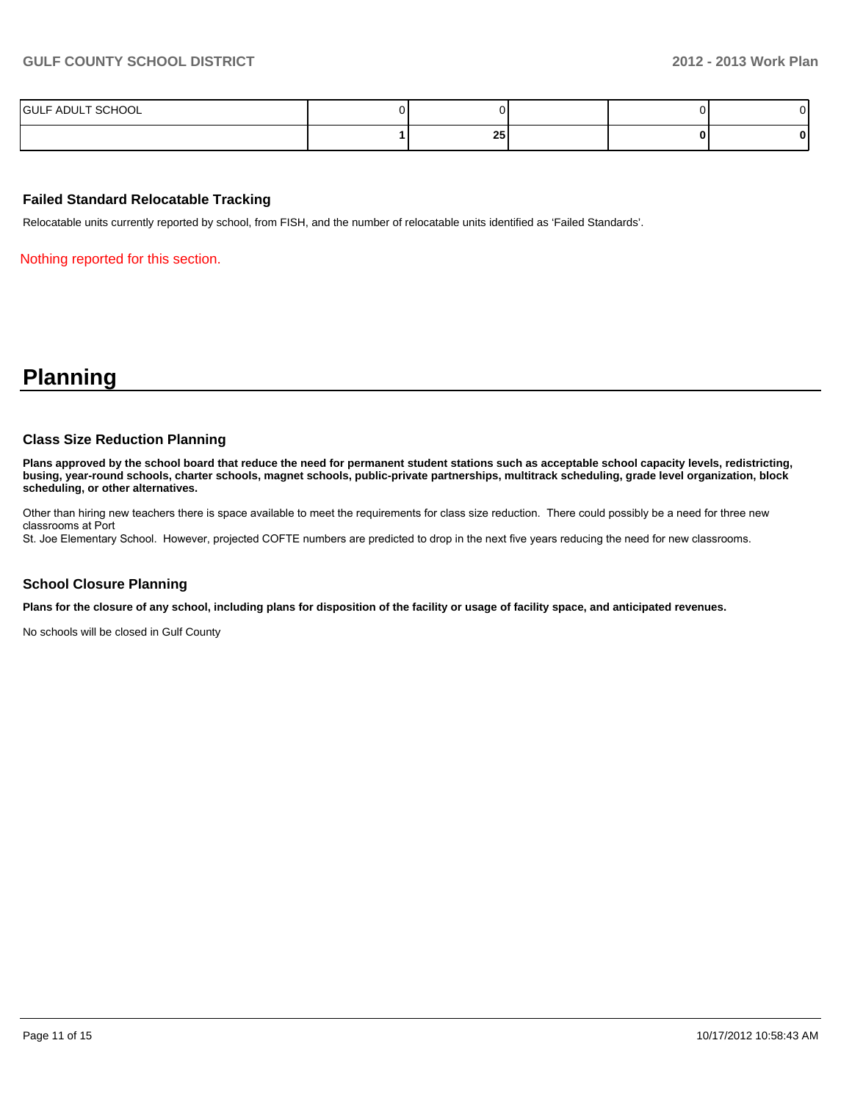| SCHOOL<br><b>IGULF ADUL</b><br>. |          |  |  |
|----------------------------------|----------|--|--|
|                                  | oг<br>ΖJ |  |  |

### **Failed Standard Relocatable Tracking**

Relocatable units currently reported by school, from FISH, and the number of relocatable units identified as 'Failed Standards'.

Nothing reported for this section.

### **Planning**

#### **Class Size Reduction Planning**

**Plans approved by the school board that reduce the need for permanent student stations such as acceptable school capacity levels, redistricting, busing, year-round schools, charter schools, magnet schools, public-private partnerships, multitrack scheduling, grade level organization, block scheduling, or other alternatives.**

Other than hiring new teachers there is space available to meet the requirements for class size reduction. There could possibly be a need for three new classrooms at Port

St. Joe Elementary School. However, projected COFTE numbers are predicted to drop in the next five years reducing the need for new classrooms.

### **School Closure Planning**

**Plans for the closure of any school, including plans for disposition of the facility or usage of facility space, and anticipated revenues.**

No schools will be closed in Gulf County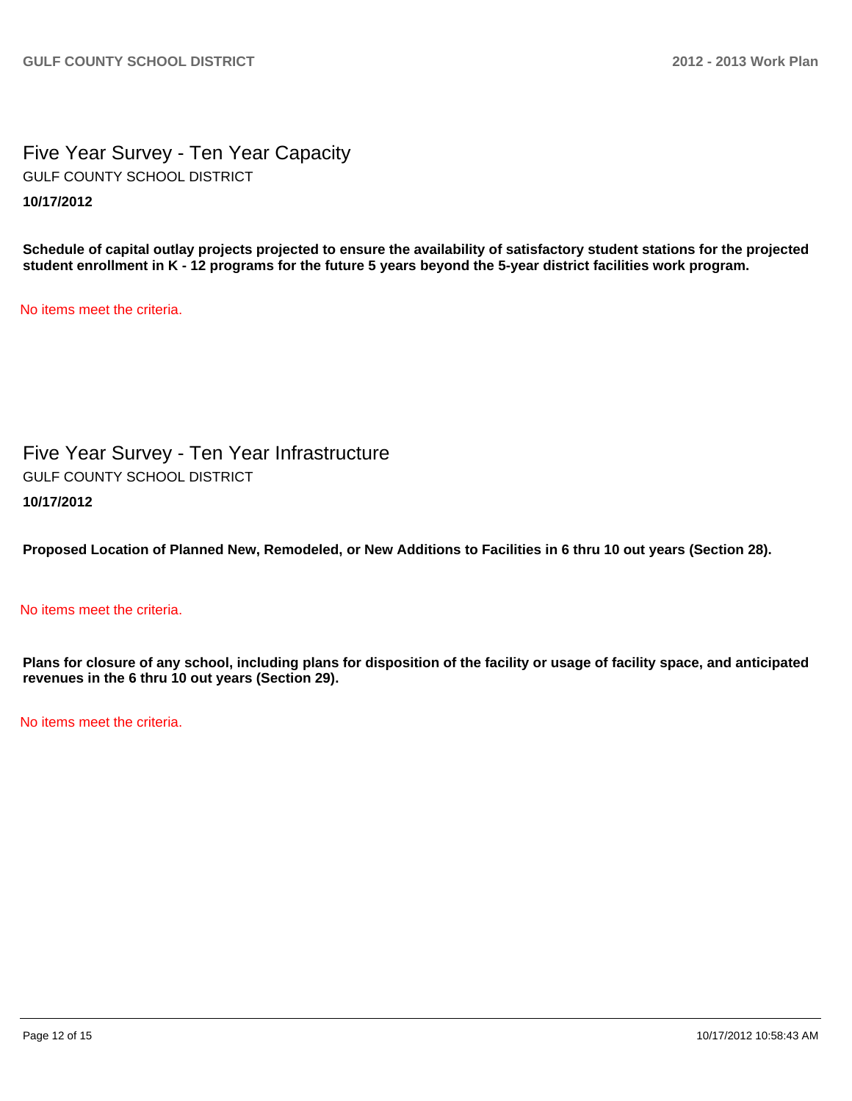Five Year Survey - Ten Year Capacity **10/17/2012** GULF COUNTY SCHOOL DISTRICT

**Schedule of capital outlay projects projected to ensure the availability of satisfactory student stations for the projected student enrollment in K - 12 programs for the future 5 years beyond the 5-year district facilities work program.**

No items meet the criteria.

Five Year Survey - Ten Year Infrastructure **10/17/2012** GULF COUNTY SCHOOL DISTRICT

**Proposed Location of Planned New, Remodeled, or New Additions to Facilities in 6 thru 10 out years (Section 28).**

### No items meet the criteria.

**Plans for closure of any school, including plans for disposition of the facility or usage of facility space, and anticipated revenues in the 6 thru 10 out years (Section 29).**

No items meet the criteria.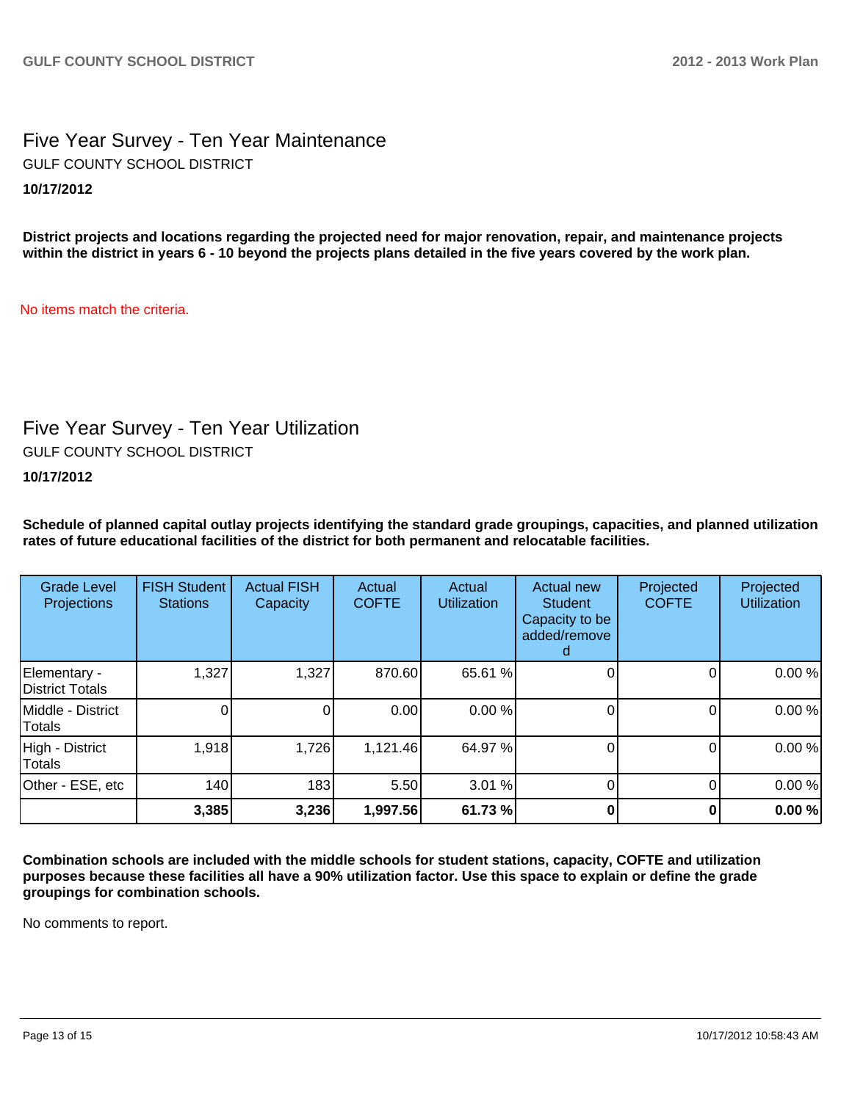### Five Year Survey - Ten Year Maintenance **10/17/2012** GULF COUNTY SCHOOL DISTRICT

**District projects and locations regarding the projected need for major renovation, repair, and maintenance projects within the district in years 6 - 10 beyond the projects plans detailed in the five years covered by the work plan.**

No items match the criteria.

## Five Year Survey - Ten Year Utilization

GULF COUNTY SCHOOL DISTRICT

### **10/17/2012**

**Schedule of planned capital outlay projects identifying the standard grade groupings, capacities, and planned utilization rates of future educational facilities of the district for both permanent and relocatable facilities.**

| <b>Grade Level</b><br>Projections | <b>FISH Student</b><br><b>Stations</b> | <b>Actual FISH</b><br>Capacity | Actual<br><b>COFTE</b> | Actual<br><b>Utilization</b> | Actual new<br><b>Student</b><br>Capacity to be<br>added/remove | Projected<br><b>COFTE</b> | Projected<br><b>Utilization</b> |
|-----------------------------------|----------------------------------------|--------------------------------|------------------------|------------------------------|----------------------------------------------------------------|---------------------------|---------------------------------|
| Elementary -<br>District Totals   | 1,327                                  | 1,327                          | 870.60                 | 65.61 %                      |                                                                |                           | 0.00%                           |
| Middle - District<br>Totals       |                                        |                                | 0.00                   | 0.00%                        |                                                                |                           | 0.00%                           |
| High - District<br>Totals         | 1,918                                  | 1,726                          | 1,121.46               | 64.97 %                      |                                                                |                           | 0.00%                           |
| Other - ESE, etc                  | 140                                    | 183                            | 5.50                   | 3.01%                        |                                                                |                           | 0.00%                           |
|                                   | 3,385                                  | 3,236                          | 1,997.56               | 61.73 %                      |                                                                |                           | 0.00%                           |

**Combination schools are included with the middle schools for student stations, capacity, COFTE and utilization purposes because these facilities all have a 90% utilization factor. Use this space to explain or define the grade groupings for combination schools.**

No comments to report.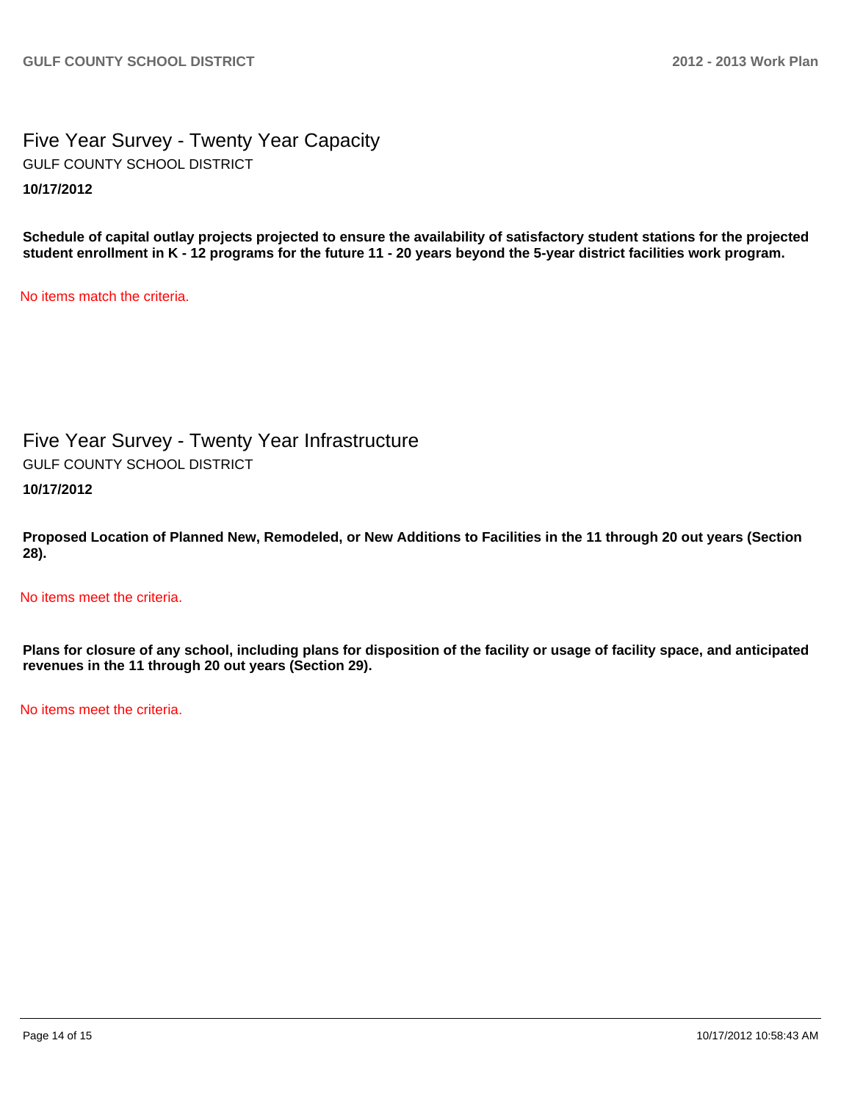Five Year Survey - Twenty Year Capacity **10/17/2012** GULF COUNTY SCHOOL DISTRICT

**Schedule of capital outlay projects projected to ensure the availability of satisfactory student stations for the projected student enrollment in K - 12 programs for the future 11 - 20 years beyond the 5-year district facilities work program.**

No items match the criteria.

Five Year Survey - Twenty Year Infrastructure GULF COUNTY SCHOOL DISTRICT

**10/17/2012**

**Proposed Location of Planned New, Remodeled, or New Additions to Facilities in the 11 through 20 out years (Section 28).**

No items meet the criteria.

**Plans for closure of any school, including plans for disposition of the facility or usage of facility space, and anticipated revenues in the 11 through 20 out years (Section 29).**

No items meet the criteria.